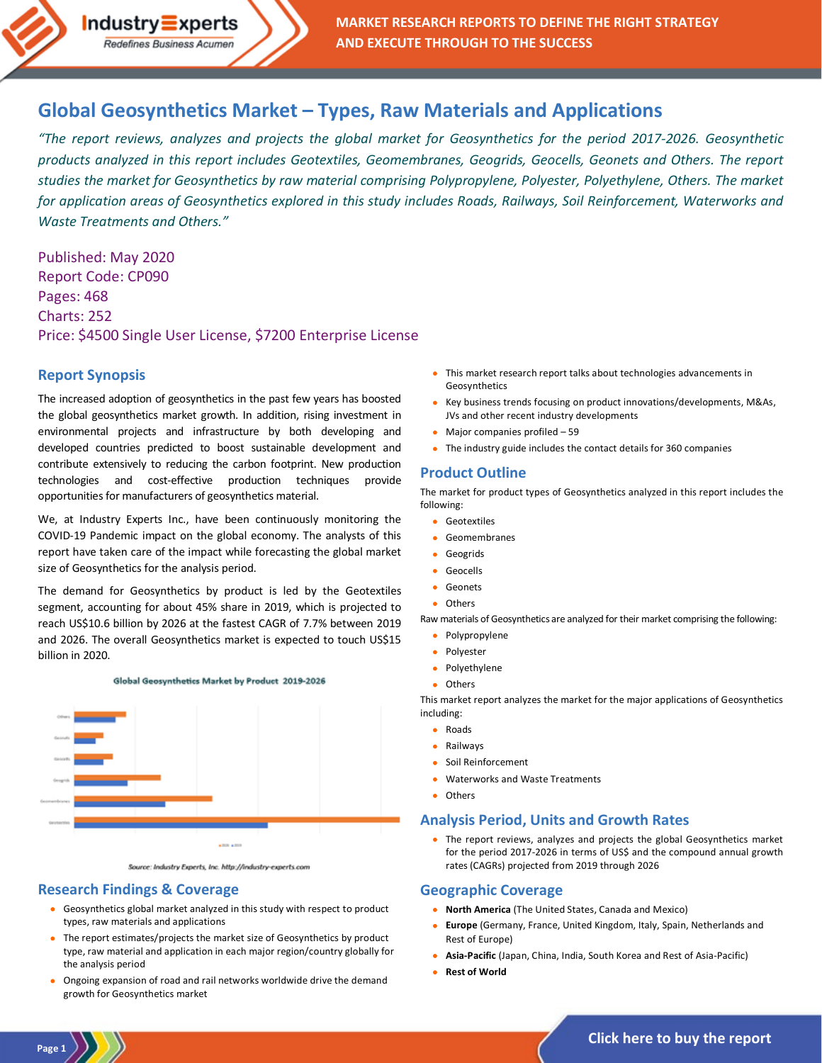

# **Global Geosynthetics Market – [Types, Raw Materials and Applications](http://industry-experts.com/verticals/chemicals-and-materials/geosynthetics-market)**

*"The report reviews, analyzes and projects the global market for Geosynthetics for the period 2017-2026. Geosynthetic products analyzed in this report includes Geotextiles, Geomembranes, Geogrids, Geocells, Geonets and Others. The report studies the market for Geosynthetics by raw material comprising Polypropylene, Polyester, Polyethylene, Others. The market for application areas of Geosynthetics explored in this study includes Roads, Railways, Soil Reinforcement, Waterworks and Waste Treatments and Others."*

Published: May 2020 Report Code: CP090 Pages: 468 Charts: 252 Price: \$4500 Single User License, \$7200 Enterprise License

 $Industry\equiv xperts$ Redefines Business Acumen

#### **Report Synopsis**

The increased adoption of geosynthetics in the past few years has boosted the global geosynthetics market growth. In addition, rising investment in environmental projects and infrastructure by both developing and developed countries predicted to boost sustainable development and contribute extensively to reducing the carbon footprint. New production technologies and cost-effective production techniques provide opportunities for manufacturers of geosynthetics material.

We, at Industry Experts Inc., have been continuously monitoring the COVID-19 Pandemic impact on the global economy. The analysts of this report have taken care of the impact while forecasting the global market size of Geosynthetics for the analysis period.

The demand for Geosynthetics by product is led by the Geotextiles segment, accounting for about 45% share in 2019, which is projected to reach US\$10.6 billion by 2026 at the fastest CAGR of 7.7% between 2019 and 2026. The overall Geosynthetics market is expected to touch US\$15 billion in 2020.



Source: Industry Experts, Inc. http://industry-experts.com

### **Research Findings & Coverage**

**Page 1**

- Geosynthetics global market analyzed in this study with respect to product types, raw materials and applications
- The report estimates/projects the market size of Geosynthetics by product type, raw material and application in each major region/country globally for the analysis period
- Ongoing expansion of road and rail networks worldwide drive the demand growth for Geosynthetics market
- This market research report talks about technologies advancements in Geosynthetics
- Key business trends focusing on product innovations/developments, M&As, JVs and other recent industry developments
- Major companies profiled 59
- The industry guide includes the contact details for 360 companies

### **Product Outline**

The market for product types of Geosynthetics analyzed in this report includes the following:

- Geotextiles
- **Geomembranes**
- Geogrids
- **Geocells**
- Geonets
- Others

Raw materials of Geosynthetics are analyzed for their market comprising the following:

- Polypropylene
- **Polyester**
- Polyethylene
- Others

This market report analyzes the market for the major applications of Geosynthetics including:

- Roads
- Railways
- Soil Reinforcement
- Waterworks and Waste Treatments
- **Others**

#### **Analysis Period, Units and Growth Rates**

• The report reviews, analyzes and projects the global Geosynthetics market for the period 2017-2026 in terms of US\$ and the compound annual growth rates (CAGRs) projected from 2019 through 2026

#### **Geographic Coverage**

- **North America** (The United States, Canada and Mexico)
- **Europe** (Germany, France, United Kingdom, Italy, Spain, Netherlands and Rest of Europe)
- **Asia-Pacific** (Japan, China, India, South Korea and Rest of Asia-Pacific)
- **Rest of World**

**[Click here to buy the report](http://industry-experts.com/verticals/chemicals-and-materials/geosynthetics-market)**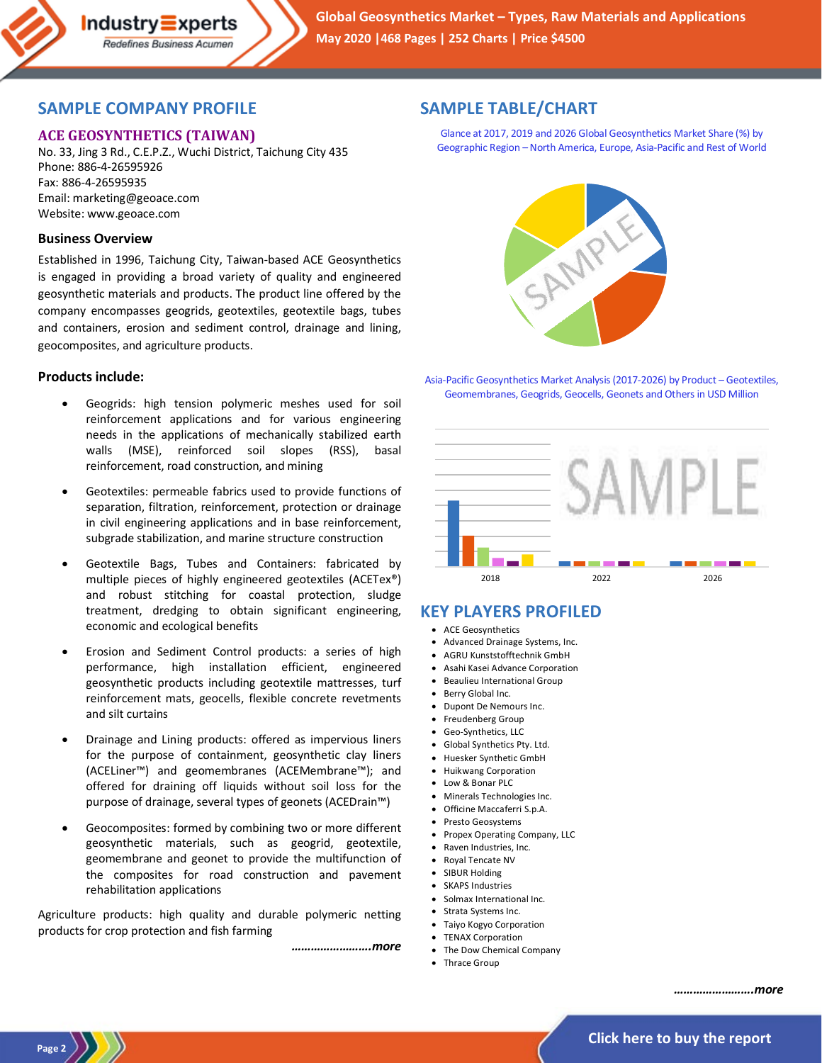## **SAMPLE COMPANY PROFILE**

### **ACE GEOSYNTHETICS (TAIWAN)**

No. 33, Jing 3 Rd., C.E.P.Z., Wuchi District, Taichung City 435 Phone: 886-4-26595926 Fax: 886-4-26595935 Email: marketing@geoace.com Website: www.geoace.com

#### **Business Overview**

Established in 1996, Taichung City, Taiwan-based ACE Geosynthetics is engaged in providing a broad variety of quality and engineered geosynthetic materials and products. The product line offered by the company encompasses geogrids, geotextiles, geotextile bags, tubes and containers, erosion and sediment control, drainage and lining, geocomposites, and agriculture products.

#### **Products include:**

- Geogrids: high tension polymeric meshes used for soil reinforcement applications and for various engineering needs in the applications of mechanically stabilized earth walls (MSE), reinforced soil slopes (RSS), basal reinforcement, road construction, and mining
- Geotextiles: permeable fabrics used to provide functions of separation, filtration, reinforcement, protection or drainage in civil engineering applications and in base reinforcement, subgrade stabilization, and marine structure construction
- Geotextile Bags, Tubes and Containers: fabricated by multiple pieces of highly engineered geotextiles (ACETex®) and robust stitching for coastal protection, sludge treatment, dredging to obtain significant engineering, economic and ecological benefits
- Erosion and Sediment Control products: a series of high performance, high installation efficient, engineered geosynthetic products including geotextile mattresses, turf reinforcement mats, geocells, flexible concrete revetments and silt curtains
- Drainage and Lining products: offered as impervious liners for the purpose of containment, geosynthetic clay liners (ACELiner™) and geomembranes (ACEMembrane™); and offered for draining off liquids without soil loss for the purpose of drainage, several types of geonets (ACEDrain™)
- Geocomposites: formed by combining two or more different geosynthetic materials, such as geogrid, geotextile, geomembrane and geonet to provide the multifunction of the composites for road construction and pavement rehabilitation applications

Agriculture products: high quality and durable polymeric netting products for crop protection and fish farming

*…………………….more*

## **SAMPLE TABLE/CHART**

Glance at 2017, 2019 and 2026 Global Geosynthetics Market Share (%) by Geographic Region –North America, Europe, Asia-Pacific and Rest of World



Asia-Pacific Geosynthetics Market Analysis (2017-2026) by Product – Geotextiles, Geomembranes, Geogrids, Geocells, Geonets and Others in USD Million



# **KEY PLAYERS PROFILED**

- ACE Geosynthetics
- Advanced Drainage Systems, Inc.
- AGRU Kunststofftechnik GmbH
- Asahi Kasei Advance Corporation
- Beaulieu International Group
- Berry Global Inc.
- Dupont De Nemours Inc.
- Freudenberg Group
- Geo-Synthetics, LLC • Global Synthetics Pty. Ltd.
- Huesker Synthetic GmbH
- Huikwang Corporation
- Low & Bonar PLC
- Minerals Technologies Inc.
- Officine Maccaferri S.p.A.
- Presto Geosystems
- Propex Operating Company, LLC
- Raven Industries, Inc.
- Royal Tencate NV
- SIBUR Holding
- **SKAPS Industries**
- Solmax International Inc.
- Strata Systems Inc.
- Taiyo Kogyo Corporation
- TENAX Corporation
- The Dow Chemical Company
- Thrace Group

*…………………….more*

**Page 2**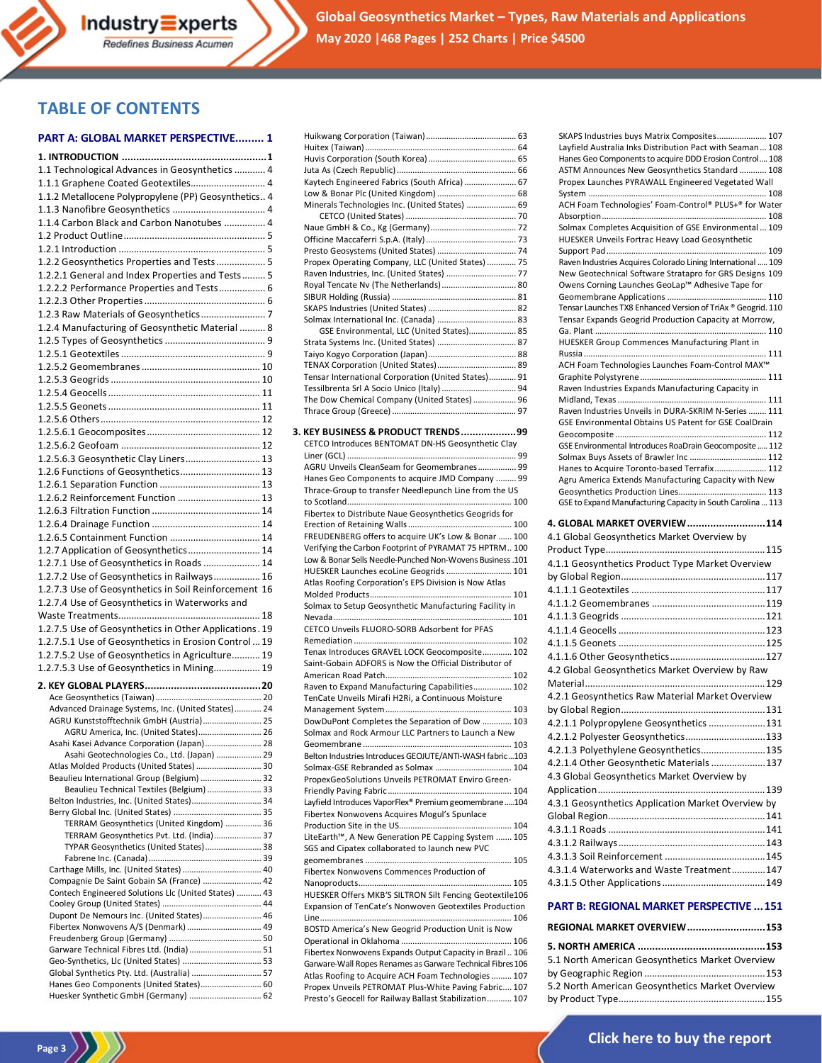

**Global Geosynthetics Market – Types, Raw Materials and Applications May 2020 |468 Pages | 252 Charts | Price \$4500**

## **TABLE OF CONTENTS**

#### **PART A: GLOBAL MARKET PERSPECTIVE......... 1**

Industry Experts Redefines Business Acumen

| 1.1 Technological Advances in Geosynthetics  4                                            |  |
|-------------------------------------------------------------------------------------------|--|
| 1.1.1 Graphene Coated Geotextiles 4                                                       |  |
| 1.1.2 Metallocene Polypropylene (PP) Geosynthetics 4                                      |  |
|                                                                                           |  |
| 1.1.4 Carbon Black and Carbon Nanotubes  4                                                |  |
|                                                                                           |  |
|                                                                                           |  |
| 1.2.2 Geosynthetics Properties and Tests  5                                               |  |
| 1.2.2.1 General and Index Properties and Tests 5                                          |  |
|                                                                                           |  |
| 1.2.2.2 Performance Properties and Tests 6                                                |  |
|                                                                                           |  |
|                                                                                           |  |
| 1.2.4 Manufacturing of Geosynthetic Material  8                                           |  |
|                                                                                           |  |
|                                                                                           |  |
|                                                                                           |  |
|                                                                                           |  |
|                                                                                           |  |
|                                                                                           |  |
|                                                                                           |  |
|                                                                                           |  |
|                                                                                           |  |
| 1.2.5.6.3 Geosynthetic Clay Liners 13                                                     |  |
| 1.2.6 Functions of Geosynthetics 13                                                       |  |
|                                                                                           |  |
| 1.2.6.2 Reinforcement Function  13                                                        |  |
|                                                                                           |  |
|                                                                                           |  |
|                                                                                           |  |
| 1.2.7 Application of Geosynthetics 14                                                     |  |
| 1.2.7.1 Use of Geosynthetics in Roads  14                                                 |  |
|                                                                                           |  |
|                                                                                           |  |
| 1.2.7.2 Use of Geosynthetics in Railways 16                                               |  |
| 1.2.7.3 Use of Geosynthetics in Soil Reinforcement 16                                     |  |
| 1.2.7.4 Use of Geosynthetics in Waterworks and                                            |  |
|                                                                                           |  |
| 1.2.7.5 Use of Geosynthetics in Other Applications. 19                                    |  |
| 1.2.7.5.1 Use of Geosynthetics in Erosion Control  19                                     |  |
| 1.2.7.5.2 Use of Geosynthetics in Agriculture 19                                          |  |
| 1.2.7.5.3 Use of Geosynthetics in Mining 19                                               |  |
|                                                                                           |  |
|                                                                                           |  |
| Advanced Drainage Systems, Inc. (United States) 24                                        |  |
| AGRU Kunststofftechnik GmbH (Austria) 25                                                  |  |
| AGRU America, Inc. (United States) 26                                                     |  |
| Asahi Kasei Advance Corporation (Japan) 28<br>Asahi Geotechnologies Co., Ltd. (Japan)  29 |  |
| Atlas Molded Products (United States)  30                                                 |  |
| Beaulieu International Group (Belgium)  32                                                |  |
| Beaulieu Technical Textiles (Belgium)  33                                                 |  |
| Belton Industries, Inc. (United States) 34                                                |  |
|                                                                                           |  |
| TERRAM Geosynthetics (United Kingdom)  36                                                 |  |
| TERRAM Geosynthetics Pvt. Ltd. (India) 37                                                 |  |
| TYPAR Geosynthetics (United States) 38                                                    |  |
| Carthage Mills, Inc. (United States)  40                                                  |  |
| Compagnie De Saint Gobain SA (France)  42                                                 |  |
| Contech Engineered Solutions Llc (United States)  43                                      |  |
|                                                                                           |  |
| Dupont De Nemours Inc. (United States) 46                                                 |  |
| Fibertex Nonwovens A/S (Denmark)  49                                                      |  |
|                                                                                           |  |
| Garware Technical Fibres Ltd. (India) 51<br>Geo-Synthetics, Llc (United States)  53       |  |
| Global Synthetics Pty. Ltd. (Australia)  57                                               |  |
| Hanes Geo Components (United States) 60<br>Huesker Synthetic GmbH (Germany)  62           |  |

Page 3

| Kaytech Engineered Fabrics (South Africa)  67                                                                     |  |
|-------------------------------------------------------------------------------------------------------------------|--|
|                                                                                                                   |  |
| Minerals Technologies Inc. (United States)  69                                                                    |  |
|                                                                                                                   |  |
|                                                                                                                   |  |
|                                                                                                                   |  |
|                                                                                                                   |  |
| Propex Operating Company, LLC (United States)  75                                                                 |  |
|                                                                                                                   |  |
| Royal Tencate Nv (The Netherlands) 80                                                                             |  |
|                                                                                                                   |  |
|                                                                                                                   |  |
| GSE Environmental, LLC (United States) 85                                                                         |  |
| Strata Systems Inc. (United States)  87                                                                           |  |
|                                                                                                                   |  |
|                                                                                                                   |  |
| Tensar International Corporation (United States) 91                                                               |  |
| Tessilbrenta Srl A Socio Unico (Italy)  94                                                                        |  |
| The Dow Chemical Company (United States)  96                                                                      |  |
|                                                                                                                   |  |
| 3. KEY BUSINESS & PRODUCT TRENDS99                                                                                |  |
| CETCO Introduces BENTOMAT DN-HS Geosynthetic Clay                                                                 |  |
|                                                                                                                   |  |
| AGRU Unveils CleanSeam for Geomembranes 99                                                                        |  |
| Hanes Geo Components to acquire JMD Company  99                                                                   |  |
| Thrace-Group to transfer Needlepunch Line from the US                                                             |  |
|                                                                                                                   |  |
| Fibertex to Distribute Naue Geosynthetics Geogrids for                                                            |  |
| FREUDENBERG offers to acquire UK's Low & Bonar  100                                                               |  |
| Verifying the Carbon Footprint of PYRAMAT 75 HPTRM 100                                                            |  |
|                                                                                                                   |  |
|                                                                                                                   |  |
| Low & Bonar Sells Needle-Punched Non-Wovens Business .101<br>HUESKER Launches ecoLine Geogrids  101               |  |
| Atlas Roofing Corporation's EPS Division is Now Atlas                                                             |  |
|                                                                                                                   |  |
| Solmax to Setup Geosynthetic Manufacturing Facility in                                                            |  |
|                                                                                                                   |  |
| CETCO Unveils FLUORO-SORB Adsorbent for PFAS                                                                      |  |
|                                                                                                                   |  |
| Tenax Introduces GRAVEL LOCK Geocomposite 102                                                                     |  |
| Saint-Gobain ADFORS is Now the Official Distributor of                                                            |  |
|                                                                                                                   |  |
| Raven to Expand Manufacturing Capabilities 102                                                                    |  |
| TenCate Unveils Mirafi H2Ri, a Continuous Moisture                                                                |  |
| DowDuPont Completes the Separation of Dow  103                                                                    |  |
| Solmax and Rock Armour LLC Partners to Launch a New                                                               |  |
|                                                                                                                   |  |
| Belton Industries Introduces GEOJUTE/ANTI-WASH fabric103                                                          |  |
| Solmax-GSE Rebranded as Solmax  104                                                                               |  |
| PropexGeoSolutions Unveils PETROMAT Enviro Green-                                                                 |  |
|                                                                                                                   |  |
| Layfield Introduces VaporFlex® Premium geomembrane 104                                                            |  |
| Fibertex Nonwovens Acquires Mogul's Spunlace                                                                      |  |
|                                                                                                                   |  |
| LiteEarth™, A New Generation PE Capping System  105<br>SGS and Cipatex collaborated to launch new PVC             |  |
|                                                                                                                   |  |
| Fibertex Nonwovens Commences Production of                                                                        |  |
|                                                                                                                   |  |
| HUESKER Offers MKB'S SILTRON Silt Fencing Geotextile106                                                           |  |
| Expansion of TenCate's Nonwoven Geotextiles Production                                                            |  |
|                                                                                                                   |  |
| BOSTD America's New Geogrid Production Unit is Now                                                                |  |
|                                                                                                                   |  |
| Fibertex Nonwovens Expands Output Capacity in Brazil 106                                                          |  |
| Garware-Wall Ropes Renames as Garware Technical Fibres 106<br>Atlas Roofing to Acquire ACH Foam Technologies  107 |  |

| SKAPS Industries buys Matrix Composites 107<br>Layfield Australia Inks Distribution Pact with Seaman 108<br>Hanes Geo Components to acquire DDD Erosion Control 108<br>ASTM Announces New Geosynthetics Standard  108<br>Propex Launches PYRAWALL Engineered Vegetated Wall<br>ACH Foam Technologies' Foam-Control® PLUS+® for Water |
|--------------------------------------------------------------------------------------------------------------------------------------------------------------------------------------------------------------------------------------------------------------------------------------------------------------------------------------|
| Solmax Completes Acquisition of GSE Environmental 109<br>HUESKER Unveils Fortrac Heavy Load Geosynthetic                                                                                                                                                                                                                             |
| Raven Industries Acquires Colorado Lining International  109<br>New Geotechnical Software Stratapro for GRS Designs 109                                                                                                                                                                                                              |
| Owens Corning Launches GeoLap™ Adhesive Tape for                                                                                                                                                                                                                                                                                     |
| Tensar Launches TX8 Enhanced Version of TriAx ® Geogrid. 110                                                                                                                                                                                                                                                                         |
| Tensar Expands Geogrid Production Capacity at Morrow,                                                                                                                                                                                                                                                                                |
| HUESKER Group Commences Manufacturing Plant in<br>ACH Foam Technologies Launches Foam-Control MAX™                                                                                                                                                                                                                                   |
| Raven Industries Expands Manufacturing Capacity in                                                                                                                                                                                                                                                                                   |
|                                                                                                                                                                                                                                                                                                                                      |
| Raven Industries Unveils in DURA-SKRIM N-Series  111<br>GSE Environmental Obtains US Patent for GSE CoalDrain                                                                                                                                                                                                                        |
| GSE Environmental Introduces RoaDrain Geocomposite  112                                                                                                                                                                                                                                                                              |
| Solmax Buys Assets of Brawler Inc  112                                                                                                                                                                                                                                                                                               |
| Hanes to Acquire Toronto-based Terrafix 112                                                                                                                                                                                                                                                                                          |
| Agru America Extends Manufacturing Capacity with New                                                                                                                                                                                                                                                                                 |
| GSE to Expand Manufacturing Capacity in South Carolina  113                                                                                                                                                                                                                                                                          |
| 4. GLOBAL MARKET OVERVIEW114                                                                                                                                                                                                                                                                                                         |
| 4.1 Global Geosynthetics Market Overview by                                                                                                                                                                                                                                                                                          |
|                                                                                                                                                                                                                                                                                                                                      |
|                                                                                                                                                                                                                                                                                                                                      |
| 4.1.1 Geosynthetics Product Type Market Overview                                                                                                                                                                                                                                                                                     |
|                                                                                                                                                                                                                                                                                                                                      |
|                                                                                                                                                                                                                                                                                                                                      |
|                                                                                                                                                                                                                                                                                                                                      |
|                                                                                                                                                                                                                                                                                                                                      |
|                                                                                                                                                                                                                                                                                                                                      |
|                                                                                                                                                                                                                                                                                                                                      |
| 4.2 Global Geosynthetics Market Overview by Raw                                                                                                                                                                                                                                                                                      |
|                                                                                                                                                                                                                                                                                                                                      |
| 4.2.1 Geosynthetics Raw Material Market Overview                                                                                                                                                                                                                                                                                     |
|                                                                                                                                                                                                                                                                                                                                      |
| 4.2.1.1 Polypropylene Geosynthetics 131                                                                                                                                                                                                                                                                                              |
| 4.2.1.2 Polyester Geosynthetics 133                                                                                                                                                                                                                                                                                                  |
| 4.2.1.3 Polyethylene Geosynthetics 135                                                                                                                                                                                                                                                                                               |
| 4.2.1.4 Other Geosynthetic Materials  137<br>4.3 Global Geosynthetics Market Overview by                                                                                                                                                                                                                                             |
|                                                                                                                                                                                                                                                                                                                                      |
| 4.3.1 Geosynthetics Application Market Overview by                                                                                                                                                                                                                                                                                   |
|                                                                                                                                                                                                                                                                                                                                      |
|                                                                                                                                                                                                                                                                                                                                      |
|                                                                                                                                                                                                                                                                                                                                      |
| 4.3.1.4 Waterworks and Waste Treatment147                                                                                                                                                                                                                                                                                            |
|                                                                                                                                                                                                                                                                                                                                      |
| <b>PART B: REGIONAL MARKET PERSPECTIVE  151</b>                                                                                                                                                                                                                                                                                      |
| REGIONAL MARKET OVERVIEW153                                                                                                                                                                                                                                                                                                          |

| 5.1 North American Geosynthetics Market Overview |  |
|--------------------------------------------------|--|
|                                                  |  |
| 5.2 North American Geosynthetics Market Overview |  |
|                                                  |  |



Presto's Geocell for Railway Ballast Stabilization........... 107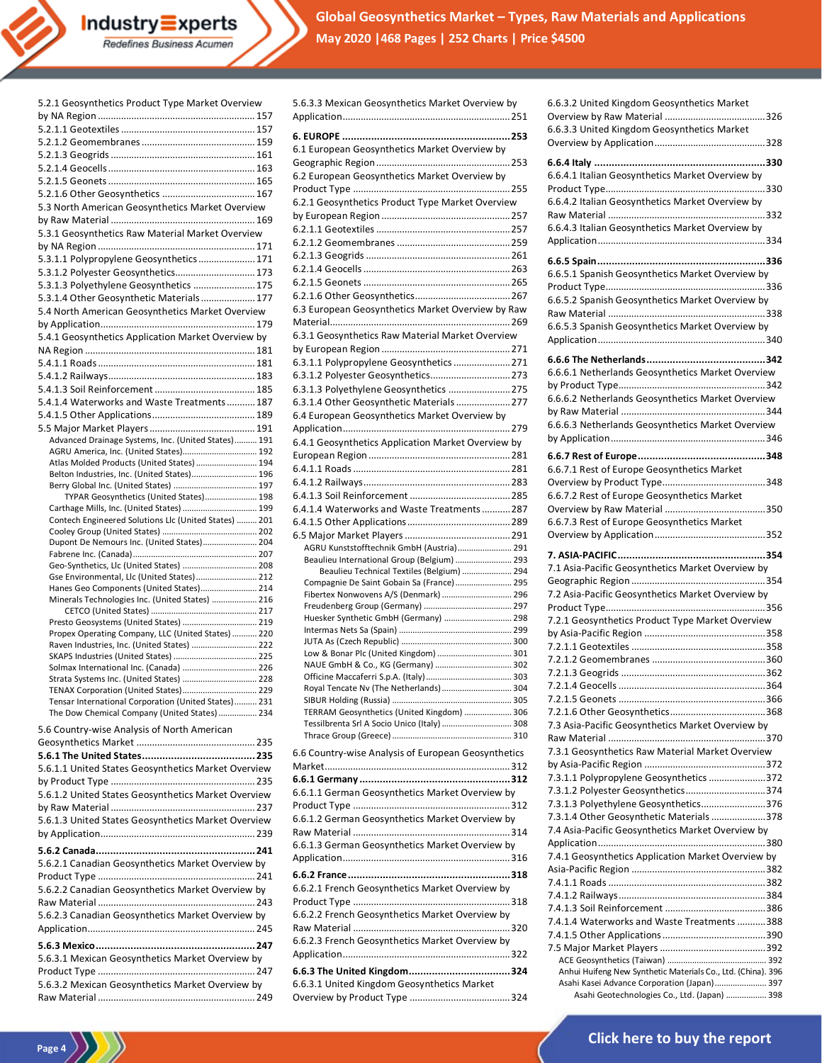**Global Geosynthetics Market – Types, Raw Materials and Applications May 2020 |468 Pages | 252 Charts | Price \$4500**

| 5.2.1 Geosynthetics Product Type Market Overview                                              |  |
|-----------------------------------------------------------------------------------------------|--|
|                                                                                               |  |
|                                                                                               |  |
|                                                                                               |  |
|                                                                                               |  |
|                                                                                               |  |
|                                                                                               |  |
|                                                                                               |  |
| 5.3 North American Geosynthetics Market Overview                                              |  |
|                                                                                               |  |
| 5.3.1 Geosynthetics Raw Material Market Overview                                              |  |
|                                                                                               |  |
| 5.3.1.1 Polypropylene Geosynthetics 171                                                       |  |
| 5.3.1.2 Polyester Geosynthetics 173                                                           |  |
| 5.3.1.3 Polyethylene Geosynthetics  175                                                       |  |
|                                                                                               |  |
| 5.3.1.4 Other Geosynthetic Materials  177                                                     |  |
| 5.4 North American Geosynthetics Market Overview                                              |  |
|                                                                                               |  |
| 5.4.1 Geosynthetics Application Market Overview by                                            |  |
|                                                                                               |  |
|                                                                                               |  |
|                                                                                               |  |
|                                                                                               |  |
| 5.4.1.4 Waterworks and Waste Treatments 187                                                   |  |
|                                                                                               |  |
|                                                                                               |  |
| Advanced Drainage Systems, Inc. (United States) 191                                           |  |
| AGRU America, Inc. (United States) 192                                                        |  |
| Atlas Molded Products (United States)  194<br>Belton Industries, Inc. (United States) 196     |  |
|                                                                                               |  |
| TYPAR Geosynthetics (United States) 198                                                       |  |
| Carthage Mills, Inc. (United States)  199                                                     |  |
| Contech Engineered Solutions Llc (United States)  201                                         |  |
|                                                                                               |  |
| Dupont De Nemours Inc. (United States) 204                                                    |  |
|                                                                                               |  |
| Geo-Synthetics, Llc (United States)  208                                                      |  |
| Gse Environmental, Llc (United States)  212<br>Hanes Geo Components (United States) 214       |  |
| Minerals Technologies Inc. (United States)  216                                               |  |
|                                                                                               |  |
| Presto Geosystems (United States)  219                                                        |  |
| Propex Operating Company, LLC (United States)  220                                            |  |
| Raven Industries, Inc. (United States)  222                                                   |  |
|                                                                                               |  |
| Solmax International Inc. (Canada)  226                                                       |  |
| Strata Systems Inc. (United States)  228                                                      |  |
| TENAX Corporation (United States) 229<br>Tensar International Corporation (United States) 231 |  |
| The Dow Chemical Company (United States)  234                                                 |  |
|                                                                                               |  |
| 5.6 Country-wise Analysis of North American                                                   |  |
|                                                                                               |  |
|                                                                                               |  |
| 5.6.1.1 United States Geosynthetics Market Overview                                           |  |
|                                                                                               |  |
| 5.6.1.2 United States Geosynthetics Market Overview                                           |  |
|                                                                                               |  |
| 5.6.1.3 United States Geosynthetics Market Overview                                           |  |
|                                                                                               |  |
|                                                                                               |  |
| 5.6.2.1 Canadian Geosynthetics Market Overview by                                             |  |
|                                                                                               |  |
| 5.6.2.2 Canadian Geosynthetics Market Overview by                                             |  |
|                                                                                               |  |
| 5.6.2.3 Canadian Geosynthetics Market Overview by                                             |  |
|                                                                                               |  |
|                                                                                               |  |
|                                                                                               |  |
|                                                                                               |  |
| 5.6.3.1 Mexican Geosynthetics Market Overview by                                              |  |
|                                                                                               |  |
| 5.6.3.2 Mexican Geosynthetics Market Overview by                                              |  |

Page 4  $\left\langle \frac{1}{2} \right\rangle$ 

| 5.6.3.3 Mexican Geosynthetics Market Overview by                                           |
|--------------------------------------------------------------------------------------------|
| 6.1 European Geosynthetics Market Overview by                                              |
| 6.2 European Geosynthetics Market Overview by                                              |
| 6.2.1 Geosynthetics Product Type Market Overview                                           |
|                                                                                            |
|                                                                                            |
|                                                                                            |
|                                                                                            |
|                                                                                            |
| 6.3 European Geosynthetics Market Overview by Raw                                          |
|                                                                                            |
| 6.3.1 Geosynthetics Raw Material Market Overview                                           |
| 6.3.1.1 Polypropylene Geosynthetics  271                                                   |
| 6.3.1.2 Polyester Geosynthetics 273                                                        |
| 6.3.1.3 Polyethylene Geosynthetics  275                                                    |
| 6.3.1.4 Other Geosynthetic Materials  277<br>6.4 European Geosynthetics Market Overview by |
|                                                                                            |
| 6.4.1 Geosynthetics Application Market Overview by                                         |
|                                                                                            |
|                                                                                            |
|                                                                                            |
| 6.4.1.4 Waterworks and Waste Treatments  287                                               |
|                                                                                            |
| AGRU Kunststofftechnik GmbH (Austria) 291                                                  |
| Beaulieu International Group (Belgium)  293                                                |
| Beaulieu Technical Textiles (Belgium)  294<br>Compagnie De Saint Gobain Sa (France) 295    |
| Fibertex Nonwovens A/S (Denmark)  296                                                      |
| Huesker Synthetic GmbH (Germany)  298                                                      |
|                                                                                            |
| Low & Bonar Plc (United Kingdom)  301                                                      |
| NAUE GmbH & Co., KG (Germany)  302                                                         |
| Royal Tencate Nv (The Netherlands)  304                                                    |
|                                                                                            |
| TERRAM Geosynthetics (United Kingdom)  306<br>Tessilbrenta Srl A Socio Unico (Italy)  308  |
|                                                                                            |
| 6.6 Country-wise Analysis of European Geosynthetics                                        |
|                                                                                            |
| 6.6.1.1 German Geosynthetics Market Overview by                                            |
|                                                                                            |
| 6.6.1.2 German Geosynthetics Market Overview by                                            |
|                                                                                            |
| 6.6.1.3 German Geosynthetics Market Overview by                                            |
|                                                                                            |
| 6.6.2.1 French Geosynthetics Market Overview by                                            |
| 6.6.2.2 French Geosynthetics Market Overview by                                            |
| 6.6.2.3 French Geosynthetics Market Overview by                                            |
|                                                                                            |
|                                                                                            |
| 6.6.3.1 United Kingdom Geosynthetics Market                                                |
|                                                                                            |

| 6.6.3.2 United Kingdom Geosynthetics Market                                                                 |
|-------------------------------------------------------------------------------------------------------------|
|                                                                                                             |
| 6.6.3.3 United Kingdom Geosynthetics Market                                                                 |
|                                                                                                             |
|                                                                                                             |
| 6.6.4.1 Italian Geosynthetics Market Overview by                                                            |
| 6.6.4.2 Italian Geosynthetics Market Overview by                                                            |
|                                                                                                             |
| 6.6.4.3 Italian Geosynthetics Market Overview by                                                            |
|                                                                                                             |
|                                                                                                             |
| 6.6.5.1 Spanish Geosynthetics Market Overview by                                                            |
|                                                                                                             |
| 6.6.5.2 Spanish Geosynthetics Market Overview by                                                            |
|                                                                                                             |
| 6.6.5.3 Spanish Geosynthetics Market Overview by                                                            |
|                                                                                                             |
|                                                                                                             |
| 6.6.6.1 Netherlands Geosynthetics Market Overview                                                           |
|                                                                                                             |
| 6.6.6.2 Netherlands Geosynthetics Market Overview                                                           |
| 6.6.6.3 Netherlands Geosynthetics Market Overview                                                           |
|                                                                                                             |
|                                                                                                             |
|                                                                                                             |
| 6.6.7.1 Rest of Europe Geosynthetics Market                                                                 |
| 6.6.7.2 Rest of Europe Geosynthetics Market                                                                 |
|                                                                                                             |
| 6.6.7.3 Rest of Europe Geosynthetics Market                                                                 |
|                                                                                                             |
|                                                                                                             |
|                                                                                                             |
| 7.1 Asia-Pacific Geosynthetics Market Overview by                                                           |
|                                                                                                             |
| 7.2 Asia-Pacific Geosynthetics Market Overview by                                                           |
|                                                                                                             |
| 7.2.1 Geosynthetics Product Type Market Overview                                                            |
|                                                                                                             |
|                                                                                                             |
|                                                                                                             |
|                                                                                                             |
|                                                                                                             |
|                                                                                                             |
| 7.3 Asia-Pacific Geosynthetics Market Overview by                                                           |
|                                                                                                             |
| 7.3.1 Geosynthetics Raw Material Market Overview                                                            |
|                                                                                                             |
| 7.3.1.1 Polypropylene Geosynthetics 372<br>7.3.1.2 Polyester Geosynthetics374                               |
| 7.3.1.3 Polyethylene Geosynthetics 376                                                                      |
| 7.3.1.4 Other Geosynthetic Materials 378                                                                    |
| 7.4 Asia-Pacific Geosynthetics Market Overview by                                                           |
|                                                                                                             |
| 7.4.1 Geosynthetics Application Market Overview by                                                          |
|                                                                                                             |
|                                                                                                             |
|                                                                                                             |
| 7.4.1.4 Waterworks and Waste Treatments 388                                                                 |
|                                                                                                             |
|                                                                                                             |
|                                                                                                             |
| Anhui Huifeng New Synthetic Materials Co., Ltd. (China). 396<br>Asahi Kasei Advance Corporation (Japan) 397 |